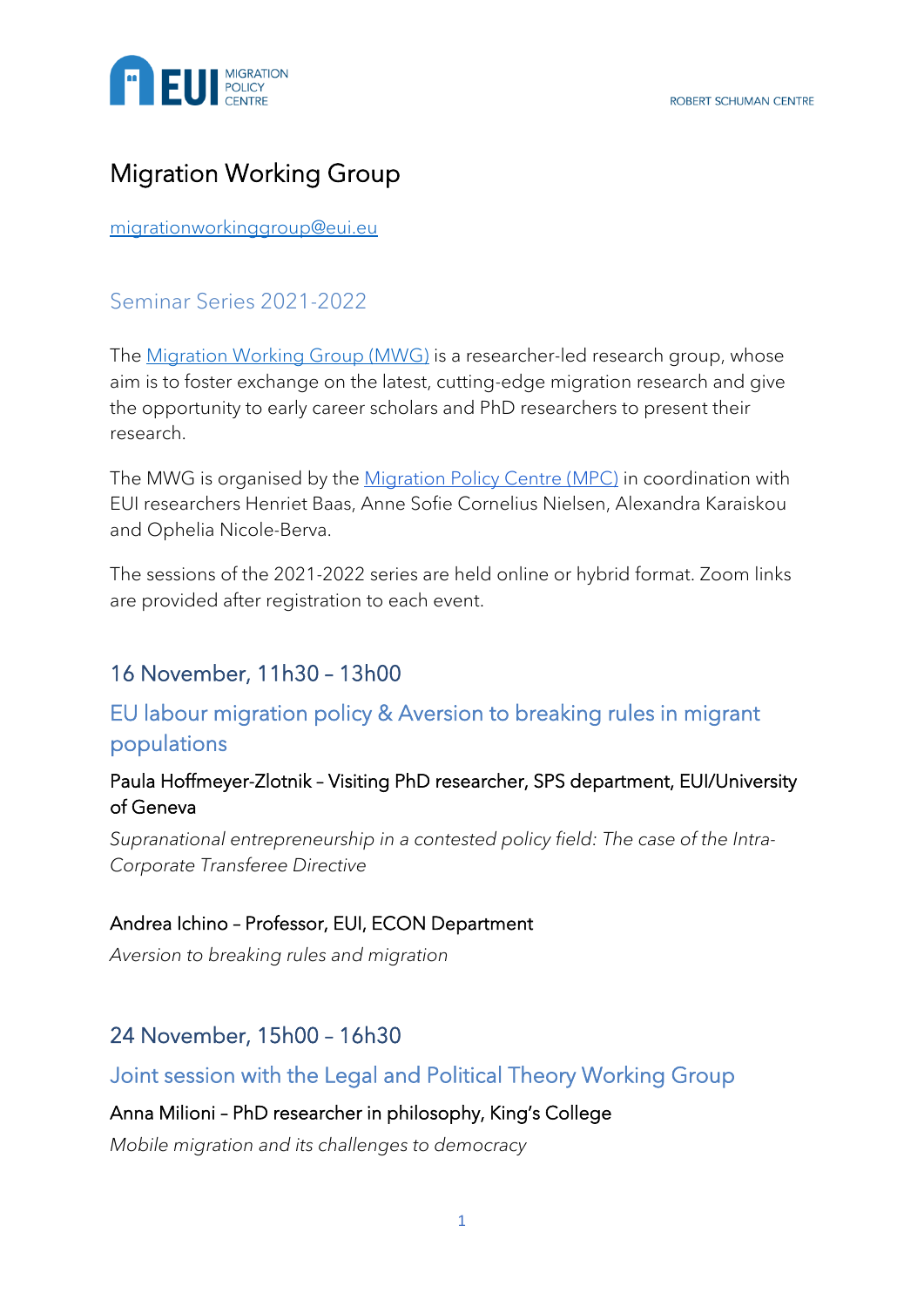

# Migration Working Group

[migrationworkinggroup@eui.eu](mailto:migrationworkinggroup@eui.eu)

## Seminar Series 2021-2022

The [Migration Working Group \(MWG\)](https://www.eui.eu/research-hub?id=the-migration-working-group) is a researcher-led research group, whose aim is to foster exchange on the latest, cutting-edge migration research and give the opportunity to early career scholars and PhD researchers to present their research.

The MWG is organised by the [Migration Policy Centre \(MPC\)](https://migrationpolicycentre.eu/) in coordination with EUI researchers Henriet Baas, Anne Sofie Cornelius Nielsen, Alexandra Karaiskou and Ophelia Nicole-Berva.

The sessions of the 2021-2022 series are held online or hybrid format. Zoom links are provided after registration to each event.

## 16 November, 11h30 – 13h00

## EU labour migration policy & Aversion to breaking rules in migrant populations

### Paula Hoffmeyer-Zlotnik – Visiting PhD researcher, SPS department, EUI/University of Geneva

*Supranational entrepreneurship in a contested policy field: The case of the Intra-Corporate Transferee Directive*

#### Andrea Ichino – Professor, EUI, ECON Department

*Aversion to breaking rules and migration*

## 24 November, 15h00 – 16h30

## Joint session with the Legal and Political Theory Working Group

#### Anna Milioni – PhD researcher in philosophy, King's College

*Mobile migration and its challenges to democracy*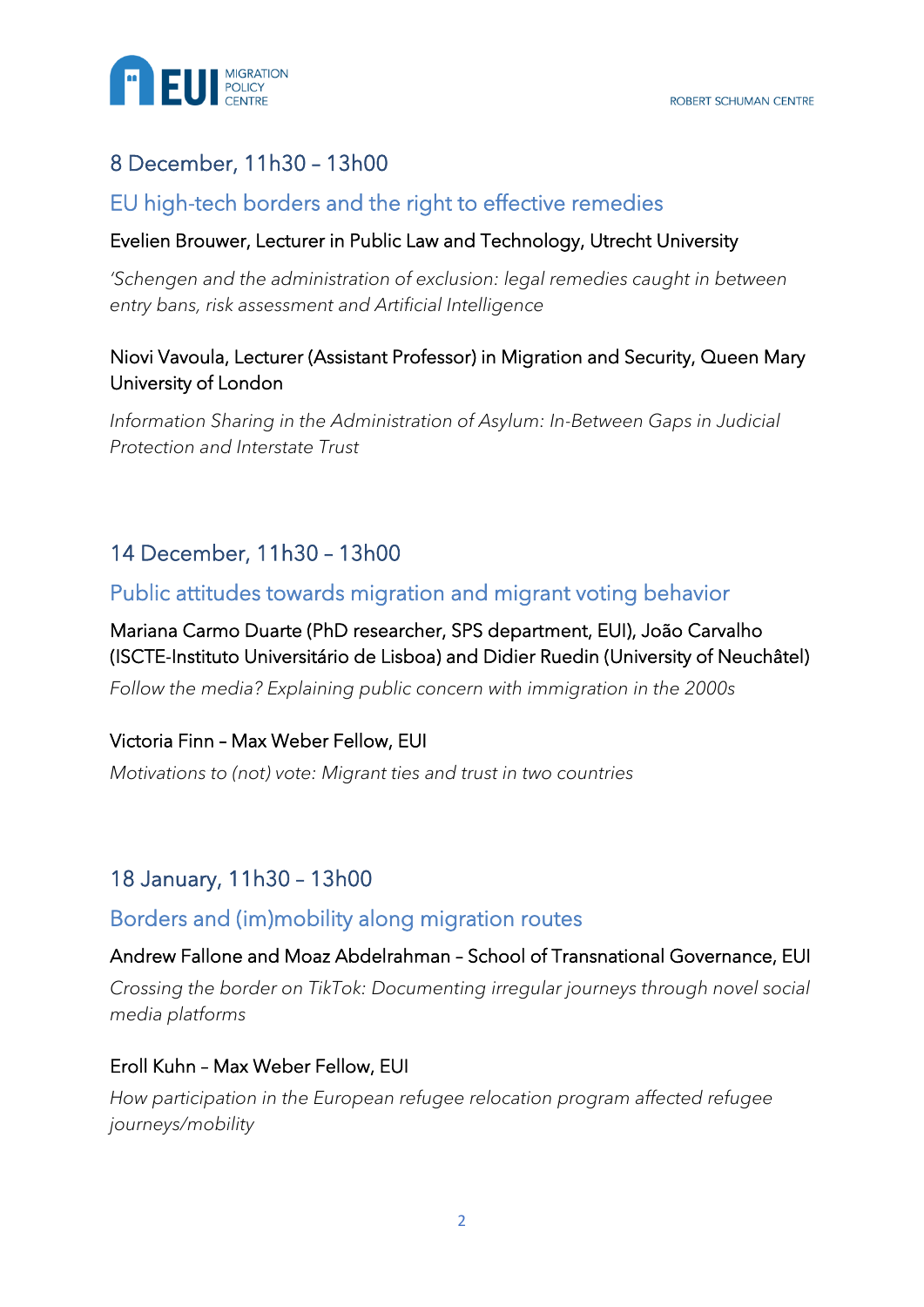

## 8 December, 11h30 – 13h00

## EU high-tech borders and the right to effective remedies

#### Evelien Brouwer, Lecturer in Public Law and Technology, Utrecht University

*'Schengen and the administration of exclusion: legal remedies caught in between entry bans, risk assessment and Artificial Intelligence*

### Niovi Vavoula, Lecturer (Assistant Professor) in Migration and Security, Queen Mary University of London

*Information Sharing in the Administration of Asylum: In-Between Gaps in Judicial Protection and Interstate Trust*

## 14 December, 11h30 – 13h00

## Public attitudes towards migration and migrant voting behavior

## Mariana Carmo Duarte (PhD researcher, SPS department, EUI), João Carvalho (ISCTE-Instituto Universitário de Lisboa) and Didier Ruedin (University of Neuchâtel)

*Follow the media? Explaining public concern with immigration in the 2000s*

#### Victoria Finn – Max Weber Fellow, EUI

*Motivations to (not) vote: Migrant ties and trust in two countries*

## 18 January, 11h30 – 13h00

#### Borders and (im)mobility along migration routes

#### Andrew Fallone and Moaz Abdelrahman – School of Transnational Governance, EUI

*Crossing the border on TikTok: Documenting irregular journeys through novel social media platforms*

#### Eroll Kuhn – Max Weber Fellow, EUI

*How participation in the European refugee relocation program affected refugee journeys/mobility*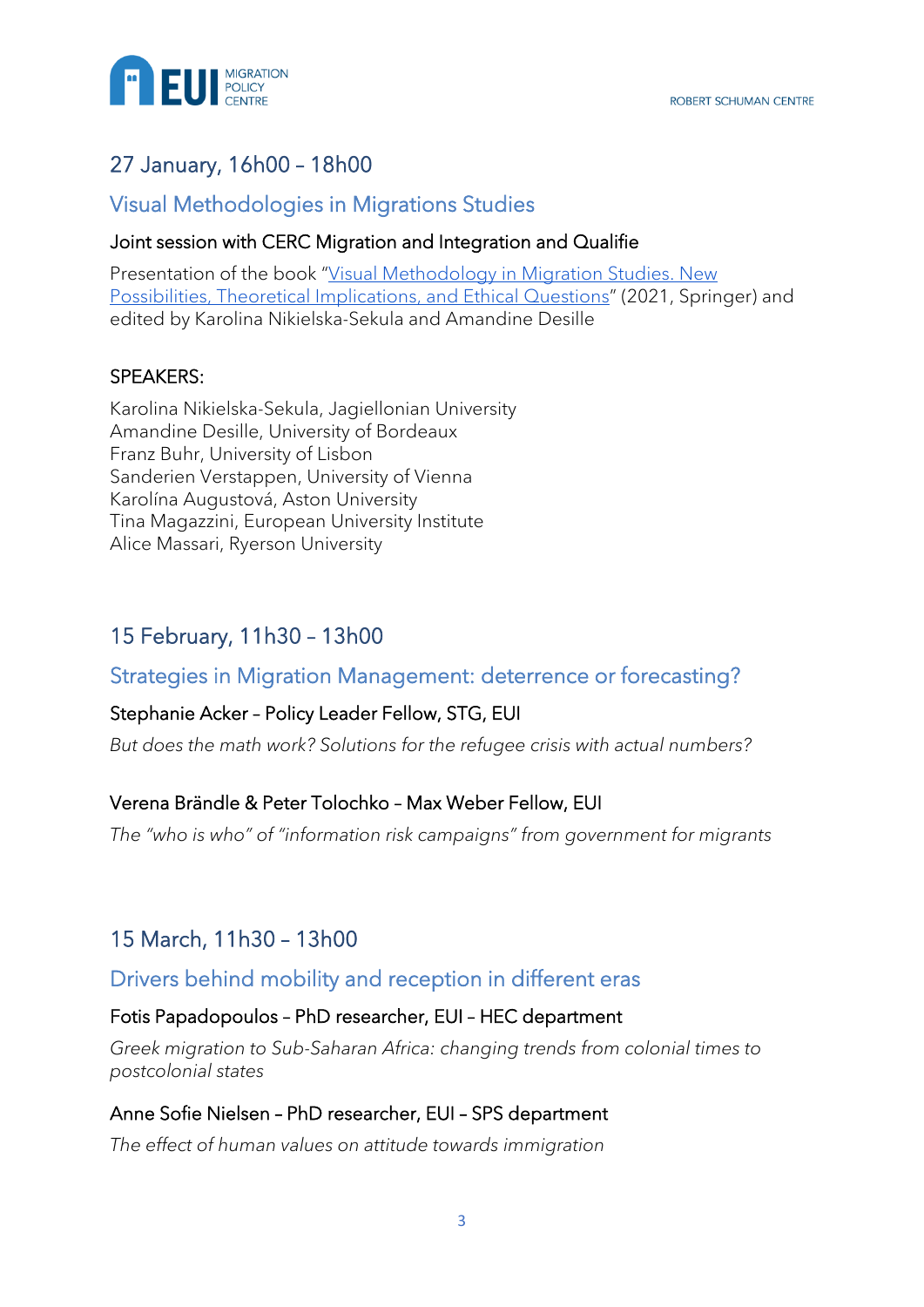

## 27 January, 16h00 – 18h00

### Visual Methodologies in Migrations Studies

#### Joint session with CERC Migration and Integration and Qualifie

Presentation of the book "Visual Methodology in Migration Studies. New [Possibilities, Theoretical Implications, and Ethical Questions](https://link-springer-com.eui.idm.oclc.org/book/10.1007/978-3-030-67608-7)" (2021, Springer) and edited by Karolina Nikielska-Sekula and Amandine Desille

#### SPEAKERS:

Karolina Nikielska-Sekula, Jagiellonian University Amandine Desille, University of Bordeaux Franz Buhr, University of Lisbon Sanderien Verstappen, University of Vienna Karolína Augustová, Aston University Tina Magazzini, European University Institute Alice Massari, Ryerson University

## 15 February, 11h30 – 13h00

#### Strategies in Migration Management: deterrence or forecasting?

#### Stephanie Acker – Policy Leader Fellow, STG, EUI

*But does the math work? Solutions for the refugee crisis with actual numbers?*

#### Verena Brändle & Peter Tolochko – Max Weber Fellow, EUI

*The "who is who" of "information risk campaigns" from government for migrants*

## 15 March, 11h30 – 13h00

## Drivers behind mobility and reception in different eras

#### Fotis Papadopoulos – PhD researcher, EUI – HEC department

*Greek migration to Sub-Saharan Africa: changing trends from colonial times to postcolonial states*

#### Anne Sofie Nielsen – PhD researcher, EUI – SPS department

*The effect of human values on attitude towards immigration*